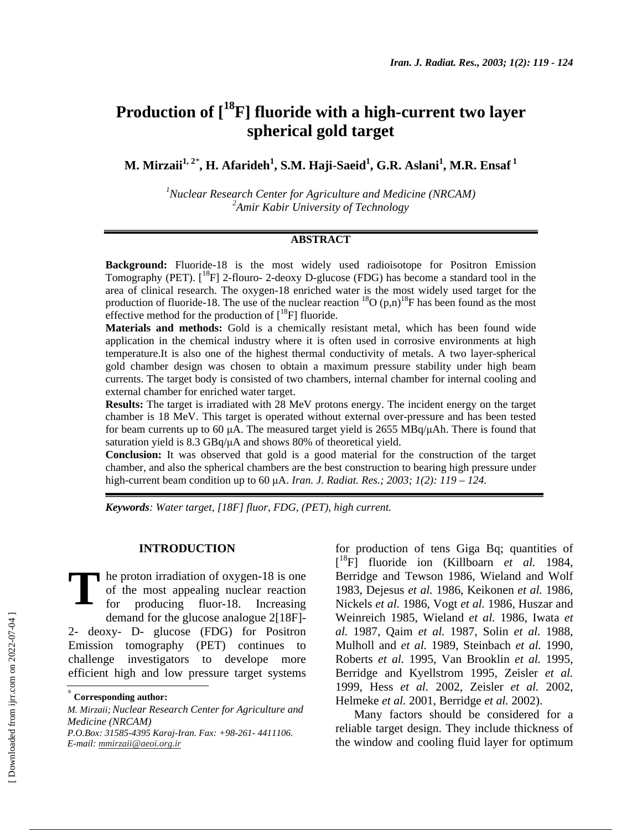# **Production of [18F] fluoride with a high-current two layer spherical gold target**

 $\mathbf{M}.$  Mirzaii $^{1,\,2^*},$  H. Afarideh $^{1},$  S.M. Haji-Saeid $^{1},$  G.R. Aslani $^{1},$  M.R. Ensaf $^{1}$ 

<sup>1</sup> Nuclear Research Center for Agriculture and Medicine (NRCAM) *2 Amir Kabir University of Technology* 

## **ABSTRACT**

**Background:** Fluoride-18 is the most widely used radioisotope for Positron Emission Tomography (PET).  $\binom{18}{1}$  2-flouro-2-deoxy D-glucose (FDG) has become a standard tool in the area of clinical research. The oxygen-18 enriched water is the most widely used target for the production of fluoride-18. The use of the nuclear reaction  ${}^{18}O(p,n){}^{18}F$  has been found as the most effective method for the production of  $[^{18}F]$  fluoride.

**Materials and methods:** Gold is a chemically resistant metal, which has been found wide application in the chemical industry where it is often used in corrosive environments at high temperature.It is also one of the highest thermal conductivity of metals. A two layer-spherical gold chamber design was chosen to obtain a maximum pressure stability under high beam currents. The target body is consisted of two chambers, internal chamber for internal cooling and external chamber for enriched water target.

**Results:** The target is irradiated with 28 MeV protons energy. The incident energy on the target chamber is 18 MeV. This target is operated without external over-pressure and has been tested for beam currents up to 60  $\mu$ A. The measured target yield is 2655 MBq/ $\mu$ Ah. There is found that saturation yield is 8.3 GBq/ $\mu$ A and shows 80% of theoretical yield.

**Conclusion:** It was observed that gold is a good material for the construction of the target chamber, and also the spherical chambers are the best construction to bearing high pressure under high-current beam condition up to 60 µA. *Iran. J. Radiat. Res.; 2003; 1(2): 119 – 124.* 

*Keywords: Water target, [18F] fluor, FDG, (PET), high current.* 

## **INTRODUCTION**

he proton irradiation of oxygen-18 is one of the most appealing nuclear reaction for producing fluor-18. Increasing demand for the glucose analogue 2[18F]- 2- deoxy- D- glucose (FDG) for Positron Emission tomography (PET) continues to challenge investigators to develope more efficient high and low pressure target systems **T**

*E-mail: mmirzaii@aeoi.org.ir*

for production of tens Giga Bq; quantities of [ 18F] fluoride ion (Killboarn *et al.* 1984, Berridge and Tewson 1986, Wieland and Wolf 1983, Dejesus *et al.* 1986, Keikonen *et al.* 1986, Nickels *et al.* 1986, Vogt *et al.* 1986, Huszar and Weinreich 1985, Wieland *et al.* 1986, Iwata *et al.* 1987, Qaim *et al.* 1987, Solin *et al.* 1988, Mulholl and *et al.* 1989, Steinbach *et al.* 1990, Roberts *et al.* 1995, Van Brooklin *et al.* 1995, Berridge and Kyellstrom 1995, Zeisler *et al.* 1999, Hess *et al.* 2002, Zeisler *et al.* 2002, Helmeke *et al.* 2001, Berridge *et al.* 2002).

Many factors should be considered for a reliable target design. They include thickness of the window and cooling fluid layer for optimum

<sup>∗</sup>  **Corresponding author:**

*M. Mirzaii;Nuclear Research Center for Agriculture and Medicine (NRCAM) P.O.Box: 31585-4395 Karaj-Iran. Fax: +98-261- 4411106.*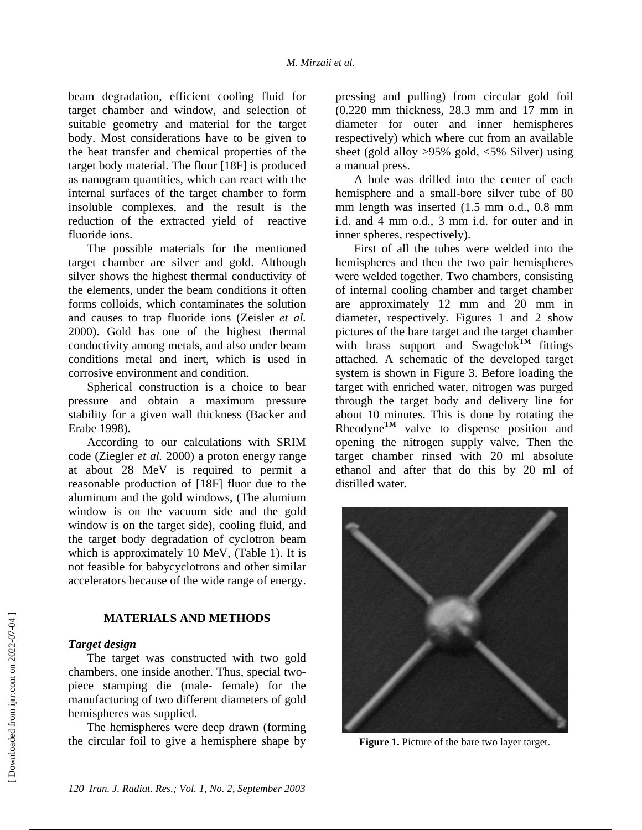beam degradation, efficient cooling fluid for target chamber and window, and selection of suitable geometry and material for the target body. Most considerations have to be given to the heat transfer and chemical properties of the target body material. The flour [18F] is produced as nanogram quantities, which can react with the internal surfaces of the target chamber to form insoluble complexes, and the result is the reduction of the extracted yield of reactive fluoride ions.

The possible materials for the mentioned target chamber are silver and gold. Although silver shows the highest thermal conductivity of the elements, under the beam conditions it often forms colloids, which contaminates the solution and causes to trap fluoride ions (Zeisler *et al.* 2000). Gold has one of the highest thermal conductivity among metals, and also under beam conditions metal and inert, which is used in corrosive environment and condition.

Spherical construction is a choice to bear pressure and obtain a maximum pressure stability for a given wall thickness (Backer and Erabe 1998).

According to our calculations with SRIM code (Ziegler *et al.* 2000) a proton energy range at about 28 MeV is required to permit a reasonable production of [18F] fluor due to the aluminum and the gold windows, (The alumium window is on the vacuum side and the gold window is on the target side), cooling fluid, and the target body degradation of cyclotron beam which is approximately 10 MeV, (Table 1). It is not feasible for babycyclotrons and other similar accelerators because of the wide range of energy.

## **MATERIALS AND METHODS**

## *Target design*

The target was constructed with two gold chambers, one inside another. Thus, special twopiece stamping die (male- female) for the manufacturing of two different diameters of gold hemispheres was supplied.

The hemispheres were deep drawn (forming the circular foil to give a hemisphere shape by

pressing and pulling) from circular gold foil (0.220 mm thickness, 28.3 mm and 17 mm in diameter for outer and inner hemispheres respectively) which where cut from an available sheet (gold alloy >95% gold, <5% Silver) using a manual press.

A hole was drilled into the center of each hemisphere and a small-bore silver tube of 80 mm length was inserted (1.5 mm o.d., 0.8 mm i.d. and 4 mm o.d., 3 mm i.d. for outer and in inner spheres, respectively).

First of all the tubes were welded into the hemispheres and then the two pair hemispheres were welded together. Two chambers, consisting of internal cooling chamber and target chamber are approximately 12 mm and 20 mm in diameter, respectively. Figures 1 and 2 show pictures of the bare target and the target chamber with brass support and Swagelok<sup>TM</sup> fittings attached. A schematic of the developed target system is shown in Figure 3. Before loading the target with enriched water, nitrogen was purged through the target body and delivery line for about 10 minutes. This is done by rotating the Rheodyne<sup>TM</sup> valve to dispense position and opening the nitrogen supply valve. Then the target chamber rinsed with 20 ml absolute ethanol and after that do this by 20 ml of distilled water.



**Figure 1.** Picture of the bare two layer target.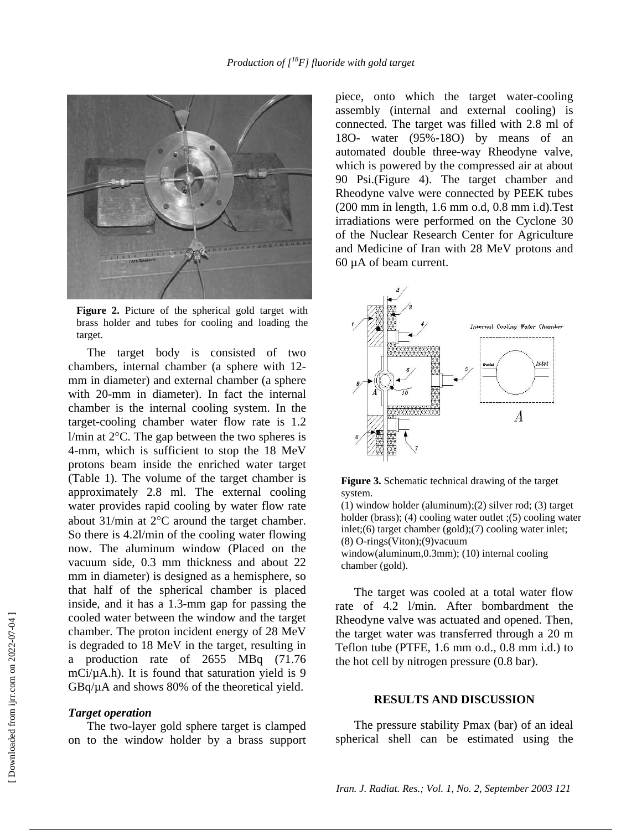

**Figure 2.** Picture of the spherical gold target with brass holder and tubes for cooling and loading the target.

The target body is consisted of two chambers, internal chamber (a sphere with 12 mm in diameter) and external chamber (a sphere with 20-mm in diameter). In fact the internal chamber is the internal cooling system. In the target-cooling chamber water flow rate is 1.2  $1/m$ in at  $2^{\circ}$ C. The gap between the two spheres is 4-mm, which is sufficient to stop the 18 MeV protons beam inside the enriched water target (Table 1). The volume of the target chamber is approximately 2.8 ml. The external cooling water provides rapid cooling by water flow rate about 31/min at 2°C around the target chamber. So there is 4.2l/min of the cooling water flowing now. The aluminum window (Placed on the vacuum side, 0.3 mm thickness and about 22 mm in diameter) is designed as a hemisphere, so that half of the spherical chamber is placed inside, and it has a 1.3-mm gap for passing the cooled water between the window and the target chamber. The proton incident energy of 28 MeV is degraded to 18 MeV in the target, resulting in a production rate of 2655 MBq (71.76 mCi/ $\mu$ A.h). It is found that saturation yield is 9 GBq/µA and shows 80% of the theoretical yield.

#### *Target operation*

The two-layer gold sphere target is clamped on to the window holder by a brass support piece, onto which the target water-cooling assembly (internal and external cooling) is connected. The target was filled with 2.8 ml of 18O- water (95%-18O) by means of an automated double three-way Rheodyne valve, which is powered by the compressed air at about 90 Psi.(Figure 4). The target chamber and Rheodyne valve were connected by PEEK tubes (200 mm in length, 1.6 mm o.d, 0.8 mm i.d).Test irradiations were performed on the Cyclone 30 of the Nuclear Research Center for Agriculture and Medicine of Iran with 28 MeV protons and 60 µA of beam current.





(1) window holder (aluminum)*;*(2) silver rod; (3) target holder (brass); (4) cooling water outlet ;(5) cooling water inlet;(6) target chamber (gold);(7) cooling water inlet; (8) O-rings(Viton);(9)vacuum window(aluminum, 0.3mm); (10) internal cooling chamber (gold).

The target was cooled at a total water flow rate of 4.2 l/min. After bombardment the Rheodyne valve was actuated and opened. Then, the target water was transferred through a 20 m Teflon tube (PTFE, 1.6 mm o.d., 0.8 mm i.d.) to the hot cell by nitrogen pressure (0.8 bar).

## **RESULTS AND DISCUSSION**

The pressure stability Pmax (bar) of an ideal spherical shell can be estimated using the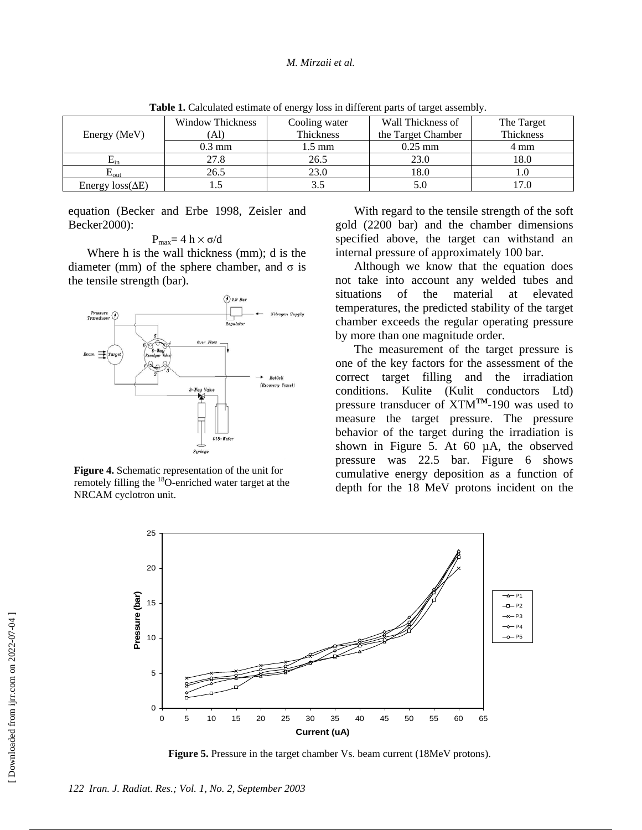| Energy (MeV)            | <b>Window Thickness</b> | Cooling water | Wall Thickness of  | The Target |
|-------------------------|-------------------------|---------------|--------------------|------------|
|                         | `Al)                    | Thickness     | the Target Chamber | Thickness  |
|                         | $0.3 \text{ mm}$        | 1.5 mm        | $0.25$ mm          | 4 mm       |
| $E_{\rm in}$            | 27.8                    | 26.5          | 23.0               | 18.0       |
| $L_{\rm{OIII}}$         | 26.5                    | 23.0          | 18.0               |            |
| Energy $loss(\Delta E)$ |                         |               | 5.0                |            |

**Table 1.** Calculated estimate of energy loss in different parts of target assembly.

equation (Becker and Erbe 1998, Zeisler and Becker2000):

$$
P_{max}\!\!=4\,h\times\sigma\!/\!d
$$

Where h is the wall thickness (mm); d is the diameter (mm) of the sphere chamber, and σ is the tensile strength (bar).



**Figure 4.** Schematic representation of the unit for remotely filling the <sup>18</sup>O-enriched water target at the NRCAM cyclotron unit.

With regard to the tensile strength of the soft gold (2200 bar) and the chamber dimensions specified above, the target can withstand an internal pressure of approximately 100 bar.

Although we know that the equation does not take into account any welded tubes and situations of the material at elevated temperatures, the predicted stability of the target chamber exceeds the regular operating pressure by more than one magnitude order.

The measurement of the target pressure is one of the key factors for the assessment of the correct target filling and the irradiation conditions. Kulite (Kulit conductors Ltd) pressure transducer of XTM**TM**-190 was used to measure the target pressure. The pressure behavior of the target during the irradiation is shown in Figure 5. At 60 µA, the observed pressure was 22.5 bar. Figure 6 shows cumulative energy deposition as a function of depth for the 18 MeV protons incident on the



**Figure 5.** Pressure in the target chamber Vs. beam current (18MeV protons).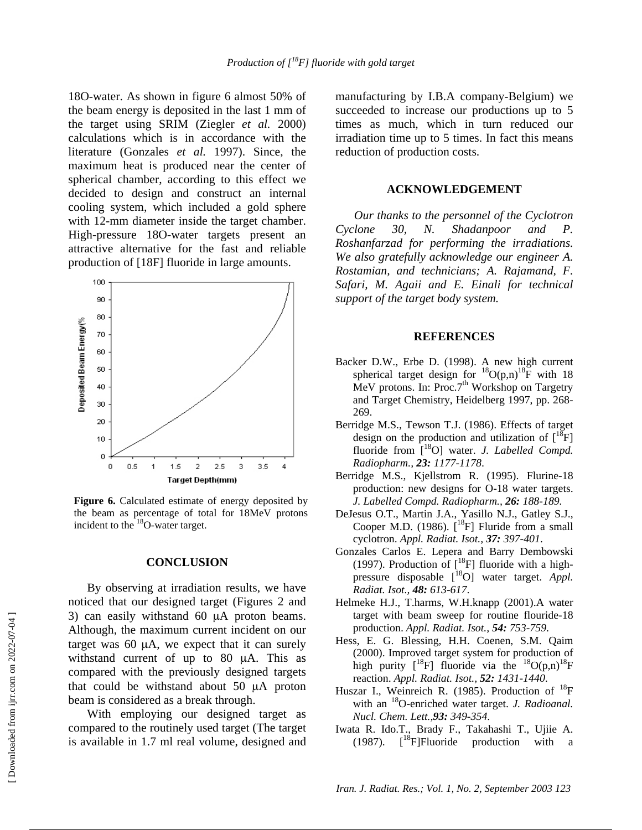18O-water. As shown in figure 6 almost 50% of the beam energy is deposited in the last 1 mm of the target using SRIM (Ziegler *et al.* 2000) calculations which is in accordance with the literature (Gonzales *et al.* 1997). Since, the maximum heat is produced near the center of spherical chamber, according to this effect we decided to design and construct an internal cooling system, which included a gold sphere with 12-mm diameter inside the target chamber. High-pressure 18O-water targets present an attractive alternative for the fast and reliable production of [18F] fluoride in large amounts.



**Figure 6.** Calculated estimate of energy deposited by the beam as percentage of total for 18MeV protons incident to the 18O-water target.

#### **CONCLUSION**

By observing at irradiation results, we have noticed that our designed target (Figures 2 and 3) can easily withstand 60  $\mu$ A proton beams. Although, the maximum current incident on our target was 60 µA, we expect that it can surely withstand current of up to 80 µA. This as compared with the previously designed targets that could be withstand about 50 µA proton beam is considered as a break through.

With employing our designed target as compared to the routinely used target (The target is available in 1.7 ml real volume, designed and

manufacturing by I.B.A company-Belgium) we succeeded to increase our productions up to 5 times as much, which in turn reduced our irradiation time up to 5 times. In fact this means reduction of production costs.

## **ACKNOWLEDGEMENT**

*Our thanks to the personnel of the Cyclotron Cyclone 30, N. Shadanpoor and P. Roshanfarzad for performing the irradiations. We also gratefully acknowledge our engineer A. Rostamian, and technicians; A. Rajamand, F. Safari, M. Agaii and E. Einali for technical support of the target body system.*

### **REFERENCES**

- Backer D.W., Erbe D. (1998). A new high current spherical target design for  ${}^{18}O(p,n){}^{18}F$  with 18 MeV protons. In: Proc.7<sup>th</sup> Workshop on Targetry and Target Chemistry, Heidelberg 1997, pp. 268- 269.
- Berridge M.S., Tewson T.J. (1986). Effects of target design on the production and utilization of  $[^{18}F]$ fluoride from [<sup>18</sup>O] water. *J. Labelled Compd. Radiopharm., 23: 1177-1178*.
- Berridge M.S., Kjellstrom R. (1995). Flurine-18 production: new designs for O-18 water targets. *J. Labelled Compd. Radiopharm., 26: 188-189.*
- DeJesus O.T., Martin J.A., Yasillo N.J., Gatley S.J., Cooper M.D. (1986).  $\int_0^{18}$ F] Fluride from a small cyclotron. *Appl. Radiat. Isot., 37: 397-401*.
- Gonzales Carlos E. Lepera and Barry Dembowski (1997). Production of  $\lfloor {}^{18}F \rfloor$  fluoride with a highpressure disposable [18O] water target. *Appl. Radiat. Isot., 48: 613-617*.
- Helmeke H.J., T.harms, W.H.knapp (2001).A water target with beam sweep for routine flouride-18 production. *Appl. Radiat. Isot., 54: 753-759*.
- Hess, E. G. Blessing, H.H. Coenen, S.M. Qaim (2000). Improved target system for production of high purity  $\begin{bmatrix} 1^8F \end{bmatrix}$  fluoride via the  $\begin{bmatrix} 1^8O(p,n) \end{bmatrix}$ <sup>18</sup>F reaction. *Appl. Radiat. Isot., 52: 1431-1440*.
- Huszar I., Weinreich R. (1985). Production of  $^{18}$ F with an 18O-enriched water target. *J. Radioanal. Nucl. Chem. Lett.,93: 349-354*.
- Iwata R. Ido.T., Brady F., Takahashi T., Ujiie A. (1987).  $\int_0^{18}$ F]Fluoride production with a